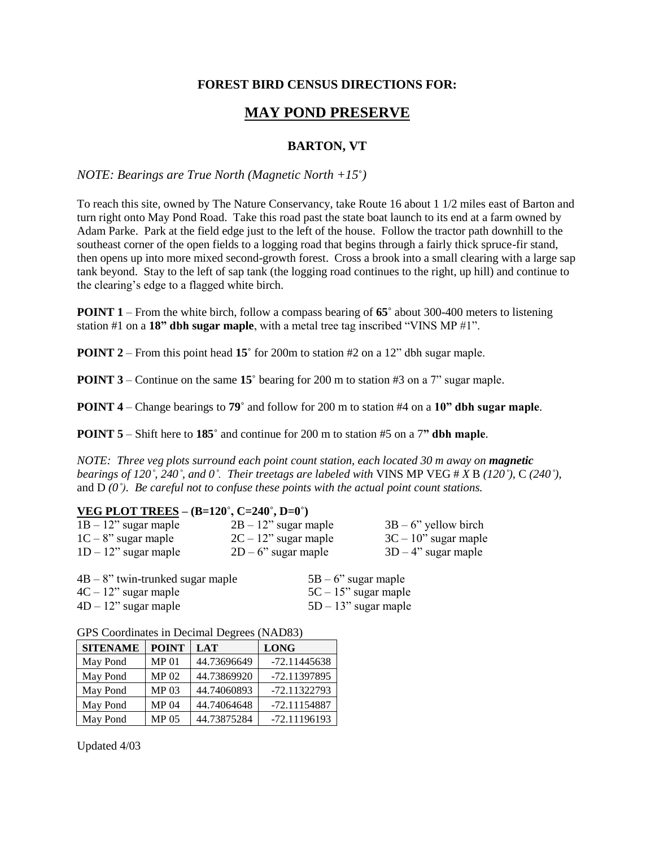## **FOREST BIRD CENSUS DIRECTIONS FOR:**

# **MAY POND PRESERVE**

## **BARTON, VT**

#### *NOTE: Bearings are True North (Magnetic North +15***˚***)*

To reach this site, owned by The Nature Conservancy, take Route 16 about 1 1/2 miles east of Barton and turn right onto May Pond Road. Take this road past the state boat launch to its end at a farm owned by Adam Parke. Park at the field edge just to the left of the house. Follow the tractor path downhill to the southeast corner of the open fields to a logging road that begins through a fairly thick spruce-fir stand, then opens up into more mixed second-growth forest. Cross a brook into a small clearing with a large sap tank beyond. Stay to the left of sap tank (the logging road continues to the right, up hill) and continue to the clearing's edge to a flagged white birch.

**POINT 1** – From the white birch, follow a compass bearing of **65˚** about 300-400 meters to listening station #1 on a **18" dbh sugar maple**, with a metal tree tag inscribed "VINS MP #1".

**POINT 2** – From this point head **15°** for 200m to station #2 on a 12" dbh sugar maple.

**POINT 3** – Continue on the same 15° bearing for 200 m to station #3 on a 7" sugar maple.

**POINT 4** – Change bearings to **79˚** and follow for 200 m to station #4 on a **10" dbh sugar maple**.

**POINT 5** – Shift here to **185˚** and continue for 200 m to station #5 on a 7**" dbh maple**.

*NOTE: Three veg plots surround each point count station, each located 30 m away on magnetic bearings of 120˚, 240˚, and 0˚. Their treetags are labeled with* VINS MP VEG # *X* B *(120˚)*, C *(240˚)*, and D *(0˚). Be careful not to confuse these points with the actual point count stations.*

#### **VEG PLOT TREES – (B=120˚, C=240˚, D=0˚)**

| $1B - 12$ " sugar maple | $2B - 12$ " sugar maple | $3B - 6$ " yellow birch |
|-------------------------|-------------------------|-------------------------|
| $1C - 8$ " sugar maple  | $2C - 12$ " sugar maple | $3C - 10$ " sugar maple |
| $1D - 12$ " sugar maple | $2D - 6$ " sugar maple  | $3D-4$ " sugar maple    |

| $4B - 8$ " twin-trunked sugar maple | $5B - 6$ " sugar maple  |
|-------------------------------------|-------------------------|
| $4C - 12$ " sugar maple             | $5C - 15$ " sugar maple |
| $4D - 12$ " sugar maple             | $5D - 13$ " sugar maple |

GPS Coordinates in Decimal Degrees (NAD83)

| <b>SITENAME</b> | <b>POINT</b>     | <b>LAT</b>  | <b>LONG</b>    |
|-----------------|------------------|-------------|----------------|
| May Pond        | MP <sub>01</sub> | 44.73696649 | $-72.11445638$ |
| May Pond        | <b>MP 02</b>     | 44.73869920 | -72.11397895   |
| May Pond        | <b>MP 03</b>     | 44.74060893 | -72.11322793   |
| May Pond        | <b>MP 04</b>     | 44.74064648 | -72.11154887   |
| May Pond        | <b>MP 05</b>     | 44.73875284 | -72.11196193   |

Updated 4/03